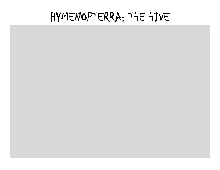# HYMENOPTERRA: THE HIVE

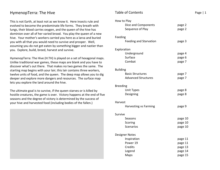# HymenopTerra: The Hive

This is not Earth, at least not as we know it. Here insects rule and evolved to become the predominate life forms. They breath with lungs, their blood carries oxygen, and the queen of the hive has dominion over all of her varied brood. You play the queen of a new hive. Your mother's workers carried you here as a larva and buried you with all that you would need to survive and prosper. Well, assuming you do not get eaten by something bigger and nastier than you. Explore, build, breed, harvest and survive.

HymenopTerra: The Hive (H:TH) is played on a set of hexagonal maps. Unlike traditional war games, these maps are blank and you have to discover what's out there. That makes no two games the same. The starting map begins with your lair; this lair contains three workers, twelve units of food, and the queen. The deep map allows you to dig deeper and explore more dangers and resources. The surface map lets you explore the land around the hive.

The ultimate goal is to survive, if the queen starves or is killed by hostile creatures, the game is over. Victory happens at the end of five seasons and the degree of victory is determined by the success of your hive and harvested food (including bodies of the fallen.)



# Table of Contents Page | 1 How to Play Dice and Components **page 2** Sequence of Play bage 2 Feeding Feeding and Starvation bage 3 Exploration Underground page 4 Surface page 6 Combat page 7 Building Basic Structures **page 7** Advanced Structures bage 7 Breeding Unit Types page 8 Designing page 8 Harvest Harvesting vs Farming **page 9** Survive Seasons page 10 Scoring page 10 Scenarios page 10 Designer Notes Inspiration page 11 Power 19 **page 11** Credits **page 13** Legend page 14 Maps **page 15**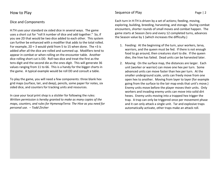# How to Play

## Dice and Components

H:TH uses your standard six sided dice in several ways. The game uses a short cut for "roll X number of dice and add together." So, if you see 2D that would be two dice added to each other. This system can further be enhanced with a modifier that adds to the total rolled. For example, 2D + 3 would yield from 5 to 15 when done. The +3 is added after all the dice are rolled and summed up. Modifiers tend to appear in combat or when rolling on the encounter table. Another dice rolling short cut is DD. Roll two dice and treat the first as the tens digit and the second die as the ones digit. This will generate 36 values ranging from 11 to 66. This is a handy for the bigger charts in the game. A typical example would be roll DD and consult a table.

To play the game, you will need a few components: three blank hex grid maps (surface, lair, and deep), pencils, some paper for notes, six sided dice, and counters for tracking units and resources.

In case your local print shop is a stickler for following the rules: Written permission is hereby granted to make as many copies of the maps, counters, and rules for HymenopTerra: The Hive as you need for personal use. – Todd Zircher

# Sequence of Play Page | 2

Each turn in H:TH is driven by a set of actions; feeding, moving, exploring, building, breeding, harvesting, and storage. During combat encounters, shorter rounds of small moves and combat happen. The game starts at Season Zero and every 12 completed turns, advances the Season value by 1 (which increases the difficulty.)

- 1. Feeding: At the beginning of the turn, your workers, larva, warriors, and the queen must be fed. If there is not enough food to go around, then creatures start to die. If the queen dies, the hive has failed. Dead units can be harvested later.
- 2. Moving: On the surface map, the distances are larger. Each unit (worker or warrior) can move one hex per turn. Some advanced units can move faster than hex per turn. At the smaller underground scale, units can freely move from one open hex to another. Moving from layer to layer (for example going from the surface to the lair map ends that unit's move.) Enemy units move before the player moves their units. Only workers and invading enemy units can move into solid dirt hexes. Enemy units moving into a trapped hex trigger the trap. A trap can only be triggered once per movement phase and it can only attack a single unit. Tar and explosive traps automatically activate, other traps make an attack roll.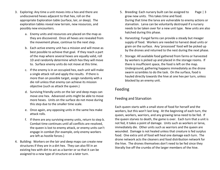- 3. Exploring: Any time a unit moves into a hex and there are undiscovered hexes adjacent to that hex, roll on the appropriate Exploration table (surface, lair, or deep). The exploration tables reveal new terrain, new resources, and possibly new encounters.
	- a. Enemy units and resources are placed on the map as they are discovered. Once all hexes are revealed from the movement phase, continue to the next step.
	- b. Each active enemy unit has a mission and will move as best possible to achieve that goal. If they reach a part of the map where several hexes are equally valid, roll 1D and randomly determine which hex they will move to. Surface enemy units do not move at this time.
	- c. If the enemy is in an occupied hex, each unit will make a single attack roll and apply the results. If there is more than on possible target, assign randomly with adie roll unless that enemy can achieve its mission objective (such as attack the queen.)
	- d. Surviving friendly units on the lair and deep maps can move one hex. Advanced units might be able to move more hexes. Units on the surface do not move during this step due to the smaller time scale.
	- e. Once again, any opposing units in the same hex makeattack rolls.
	- f. If there are any surviving enemy units, return to step b. Combat time continues until all conflicts are resolved, the queen is lost to enemy attack, or enemy units can't engage in combat (for example, only enemy workers are left as hostile forces.)
- 4. Building: Workers on the lair and deep maps can create new structures if they are in a dirt hex. They can also fill in an existing hex with dirt to act as a barrier or so that it can be assigned to a new type of structure on a later turn.
- 5. Breeding: Each nursery built can be assigned to Page | 3 grow new units. This takes time and food. During that time the larva are vulnerable to enemy actions or starvation. Larva can be voluntarily destroyed if a nursery needs to be taken over for a new unit type. New units are also hatched during this phase.
- 6. Harvesting: Fungal farms can provide a steady but meager supply of food. Workers are needed to harvest dead units or grain on the surface. Any 'processed' food will be picked up by the drones and returned to the nest during the next phase.
- 7. Storage: All available food gathered from farms or harvested by workers is picked up and placed in the storage rooms. If there is insufficient space, the food is left on the map. Underground, gathering happens immediately as the drone swarm scrambles to do the task. On the surface, food is hauled directly towards the hive at one hex per turn, unless blocked by an enemy unit.

# Feeding

# Feeding and Starvation

Each queen starts with a small store of food for herself and the workers, but this won't last long. At the beginning of each turn, the queen, workers, warriors, and any growing larva need to be fed. If the queen starves to death, the game is over. Each turn that a unit is not fed, it takes a point of damage. Units such as workers or larva, immediately die. Other units such as warriors and the queen are wounded. Damage is not healed unless that creature is fed surplus food. One extra unit of food will heal one damage each turn. The drone network acts the cleaners and food distribution network for the hive. The drones themselves don't need to be fed since they literally live off the crumbs of the larger members of the hive.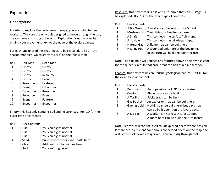# Exploration

## Underground

In order to explore the underground maps, you are going to need workers. They are the only unit designed to move through the soil, create tunnels, and dig out rooms. Exploration is easily done by ending your movement next to the edge of the explored map.

For each unexplored hex that needs to be revealed, roll 1D + the Season modifier (which starts at zero) on the follow table:

| Roll | Lair Map  | Deep Map  |  |
|------|-----------|-----------|--|
| 1    | Empty     | Empty     |  |
| 2    | Empty     | Empty     |  |
| 3    | Empty     | Resource  |  |
| 4    | Empty     | Event     |  |
| 5    | Resource  | Feature   |  |
| 6    | Event     | Encounter |  |
| 7    | Encounter | Resource  |  |
| 8    | Resource  | Event     |  |
| ٩    | Event     | Feature   |  |
|      | Encounter | Encounter |  |

Empty, this hex only contains soil and no surprises. Roll 1D for the exact type of contents:

| <b>Hex Contents</b> |                                       |
|---------------------|---------------------------------------|
| Dirt                | You can dig as normal.                |
| Dirt                | You can dig as normal.                |
| Dirt                | You can dig as normal.                |
| Sand                | Build only corridors and shafts here. |
| Clay                | Add one turn to building time         |
| Rock                | You can't dig here.                   |
|                     |                                       |

Resource, this hex contains dirt and a resource that can Page | 4 be exploited. Roll 1D for the exact type of contents:

Roll Hex Contents

- 1 | A Big Grub | A worker can harvest this for 5 food.
- 2 | Mushrooms | Treat this as a free fungal farm.
- 3 | A Shaft | This connects the surface/lair maps.
- 4 | Sink Hole | This connects the lair/deep maps.
- 5 | Natural Gas | A flame trap can be built here.
- 6 | Healing Pool | A wounded unit here at the beginning | of the turn will heal one point for free.

Note: The sink hole will replace any features above or below it except for the queen's lair. In that case, treat the hex as a plain dirt hex.

Feature, this hex contains an unusual geological feature. Roll 1D for the exact type of contents:

| Roll | <b>Hex Contents</b> |                                                         |
|------|---------------------|---------------------------------------------------------|
| 1    | Bedrock             | An impassible rock 2D hexes in size.                    |
| 2    | Crystals            | Blade traps can be built.                               |
| 3    | A Tar Pit           | Sticky traps can be built.                              |
| 4    | l Gas Pocket        | An explosion trap can be built here.                    |
| 5.   |                     | Gaping Void   Nothing can be built here, but a pit trap |
|      |                     | can be built over it on the level above.                |
| 6    | A Big Egg           | A worker can harvest this for 10 food.                  |
|      |                     | A room here can be built one turn faster.               |
|      |                     |                                                         |

Note: Bedrock will confine itself to unexplored hexes where possible. If there are insufficient continuous connected hexes on the map, the rest of the rock hexes are ignored. You can't dig through rock.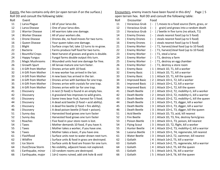Events, the hex contains only dirt (or open terrain if on the surface.) Roll DD and consult the following table:

| Roll | Event                  |                                               | Roll | Encounter             | Food            |
|------|------------------------|-----------------------------------------------|------|-----------------------|-----------------|
| 11   | Larva Plague           | All of your larva die.                        | 11   | Voracious Grub        | $\n\mod$<br>l – |
| 12   | Larva Disease          | One of your larva dies.                       | 12   | Voracious Grub        | gra             |
| 13   | <b>Warrior Disease</b> | All warriors take one damage.                 | 13   | Voracious Grub        | $/$ bee         |
| 14   | <b>Worker Disease</b>  | All of your workers die.                      | 14   | <b>Enemy Drones</b>   | steal           |
| 15   | <b>Drone Disease</b>   | Drones die, no food moves for two turns.      | 15   | <b>Enemy Drones</b>   | steal           |
| 16   | Queen Disease          | Your queen takes one damage.                  | 16   | <b>Enemy Drones</b>   | steal           |
| 21   | Blight                 | Surface crops fail, take 12 turns to re-grow. | 21   | <b>Enemy Worker</b>   | T1, h           |
| 22   | <b>Bacteria</b>        | Farms produce half food for two turns.        | 22   | <b>Enemy Worker</b>   | T1, h           |
| 23   | <b>Bountiful Crops</b> | Next harvest of grasses and grains is double. | 23   | <b>Enemy Worker</b>   | T1, s           |
| 24   | <b>Happy Fungus</b>    | Fungal farms double output this turn.         | 24   | <b>Enemy Worker</b>   | T1, d           |
| 25   | <b>Magic Mushrooms</b> | Wounded units heal one damage for free.       | 25   | <b>Enemy Worker</b>   | T1, d           |
| 26   | Growth Spurt           | All larvae mature one turn faster.            | 26   | <b>Enemy Worker</b>   | T1, d           |
| 31   | A Gift from Mother     | Drones arrive with 10 food.                   | 31   | <b>Enemy Basic</b>    | Atta            |
| 32   | A Gift from Mother     | A new worker has arrived in the lair.         | 32   | <b>Enemy Basic</b>    | Atta<br>1       |
| 33   | A Gift from Mother     | A new basic has arrived in the lair.          | 33   | <b>Enemy Basic</b>    | Atta            |
| 34   | A Gift from Mother     | Drones arrive with bamboo for one trap.       | 34   | <b>Improved Basic</b> | Atta            |
| 35   | A Gift from Mother     | Drones arrive with crystals for one trap.     | 35   | <b>Improved Basic</b> | Atta            |
| 36   | A Gift from Mother     | Drones arrive with tar for one trap.          | 36   | <b>Improved Basic</b> | Atta            |
| 41   | Discovery              | A nest (5 food) is found in an empty hex.     | 41   | Death Beetle          | 2<br>Atta       |
| 42   | Discovery              | A grassland hex improves to wild grains.      | 42   | Death Beetle          | 2<br>Atta       |
| 43   | Discovery              | Some trees bear fruit, harvest for 5 food.    | 43   | Death Beetle          | Atta<br>2       |
| 44   | Discovery              | A dead acid beetle (3 food + acid ability).   | 44   | Death Beetle          | 3<br>Atta       |
| 45   | Discovery              | A dead fire beetle (2 food + fire ability).   | 45   | Death Beetle          | Atta<br>3       |
| 46   | Discovery              | A dead poison beetle (3 food + poison).       | 46   | Death Beetle          | 3<br>Atta       |
| 51   | Sunny day              | Harvested food grows one turn faster          | 51   | <b>Acid Beetle</b>    | Attad<br>3      |
| 52   | Sunny day              | Harvested food grows one turn faster          | 52   | <b>Fire Beetle</b>    | 2<br>Atta       |
| 53   | Roaches                | Five food in your store room is lost.         | 53   | Poison Beetle         | 3<br>Atta       |
| 54   | <b>Taxes</b>           | Mother demands 10 food, if you have it.       | 54   | <b>Flying Scout</b>   | Atta            |
| 55   | <b>Taxes</b>           | Mother takes a worker, if you have one.       | 55   | Hunter Beetle         | Atta            |
| 56   | <b>Taxes</b>           | Mother takes a basic, if you have one.        | 56   | Lazarus Beetle        | Atta<br>3       |
| 61   | Flashflood             | Surface units next to water drown next turn.  | 61   | <b>Water Beetle</b>   | 3<br>Atta       |
| 62   | Wildfire               | Surface units & food in grass are destroyed.  | 62   | Goliath               | Atta<br>4       |
| 63   | Ice Storm              | Surface units & food are frozen for one turn. | 63   | Goliath               | Atta<br>4       |
| 64   | Dust/Snow Storm        | No visibility, adjacent hexes not explored.   | 64   | Goliath               | Atta<br>4       |
| 65   | Earthquake, minor      | 1D random rooms are destroyed.                | 65   | Goliath               | Atta<br>5       |
| 66   | Earthquake, major      | 1d+2 rooms ruined, add sink hole & void       | 66   | Goliath               | 5<br>  Atta     |
|      |                        |                                               |      |                       |                 |

Encounters, enemy insects have been found in this dirt/ Page | 5 open terrain hex. Roll DD and consult the following table:

| кон | Encounter             | rooa                     |                                             |
|-----|-----------------------|--------------------------|---------------------------------------------|
| 11  | Voracious Grub        | I –                      | \ moves to a food source (farm, grass, or   |
| 12  | Voracious Grub        | $\overline{\phantom{a}}$ | grain) and grows into a random death        |
| 13  | Voracious Grub        | l -                      | / beetle in five turns (no attack, T1)      |
| 14  | <b>Enemy Drones</b>   | l -                      | steals nearest food (up to 5 food)          |
| 15  | <b>Enemy Drones</b>   | $\overline{\phantom{m}}$ | steals nearest food (up to 5 food)          |
| 16  | <b>Enemy Drones</b>   | l -                      | steals nearest food (up to 5 food)          |
| 21  | Enemy Worker          | $\blacksquare$           | T1, harvest/steal food (up to 10 food)      |
| 22  | Enemy Worker          | $\overline{\phantom{a}}$ | T1, harvest/steal food (up to 10 food)      |
| 23  | <b>Enemy Worker</b>   | $\overline{\phantom{a}}$ | T1, steal a larva                           |
| 24  | Enemy Worker          | $\overline{a}$           | T1, destroy a farm                          |
| 25  | Enemy Worker          |                          | T1, destroy an egg chamber                  |
| 26  | Enemy Worker          |                          | T1, destroy a store room                    |
| 31  | <b>Enemy Basic</b>    | 1                        | Attack 1D, T1, kill a worker                |
| 32  | <b>Enemy Basic</b>    | 1                        | Attack 1D, T1, kill a warrior               |
| 33  | <b>Enemy Basic</b>    | 1                        | Attack 1D, T1, kill the queen               |
| 34  | <b>Improved Basic</b> | 2                        | Attack 1D+1, T2, kill a worker              |
| 35  | <b>Improved Basic</b> | 2                        | Attack 1D+1, T2, kill a warrior             |
| 36  | <b>Improved Basic</b> | 2                        | Attack 1D+1, T2, kill the queen             |
| 41  | Death Beetle          | 2                        | Attack 1D+2, T2, mobility+1, kill a worker  |
| 42  | Death Beetle          | 2                        | Attack 1D+2, T2, mobility+1, kill a warrior |
| 43  | Death Beetle          | $\overline{2}$           | Attack 1D+2, T2, mobility+1, kill the queen |
| 44  | Death Beetle          | 3                        | Attack 1D+1, T3, digger, kill a worker      |
| 45  | Death Beetle          | 3                        | Attack 1D+1, T3, digger, kill a warrior     |
| 46  | Death Beetle          | 3                        | Attack 1D+1, T3, digger, kill the queen     |
| 51  | Acid Beetle           | 3                        | Attack 1D, T3, acid, kill nearest           |
| 52  | Fire Beetle           | $\overline{2}$           | Attack 1D, T3, fire, destroy farm/grass     |
| 53  | Poison Beetle         | 3                        | Attack 1D+1, T3, poison, kill nearest       |
| 54  | Flying Scout          | 3                        | Attack 1D, T2, flight, kill a worker        |
| 55  | Hunter Beetle         | 4                        | Attack 1D+2, T3, mobility+2, kill a warrior |
| 56  | Lazarus Beetle        | 3                        | Attack 1D+1, T4, regenerate, kill nearest   |
| 61  | <b>Water Beetle</b>   | 3                        | Attack 1d+2, T2, swimmer, kill nearest      |
| 62  | Goliath               | 4                        | Attack 1d+2, T5, kill a warrior             |
| 63  | Goliath               | 4                        | Attack 1d+2, T5, regenerate, kill a warrior |
| 64  | Goliath               | 4                        | Attack 1d+2, T5, kill the queen             |
| 65  | Goliath               | 5                        | Attack 1d+3, T6, kill a warrior             |
| 66  | Goliath               | 5                        | Attack 1d+3, T6, kill the queen             |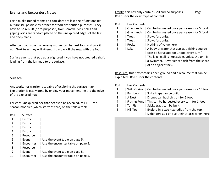## Events and Encounters Notes

Earth quake ruined rooms and corridors are lose their functionality, but are still passible by drones for food distribution purposes. They have to be rebuilt (or re-purposed) from scratch. Sink holes and gaping voids are random placed on the unexplored edges of the lair and deep maps.

After combat is over, an enemy worker can harvest food and pick it up. Next turn, they will attempt to move off the map with the food.

Surface events that pop up are ignored if you have not created a shaft leading from the lair map to the surface.

## Surface

Any worker or warrior is capable of exploring the surface map. Exploration is easily done by ending your movement next to the edge of the explored map.

For each unexplored hex that needs to be revealed, roll 1D + the Season modifier (which starts at zero) on the follow table:

| Roll  | Surface   |                                    |
|-------|-----------|------------------------------------|
| 1     | Empty     |                                    |
| 2     | Empty     |                                    |
| 3     | Empty     |                                    |
| 4     | Empty     |                                    |
| 5     | Resource  |                                    |
| 6     | Event     | Use the event table on page 5.     |
| 7     | Encounter | Use the encounter table on page 5. |
| 8     | Resource  |                                    |
| 9     | Event     | Use the event table on page 5.     |
| $10+$ | Encounter | Use the encounter table on page 5. |

Empty, this hex only contains soil and no surprises. Page | 6 Roll 1D for the exact type of contents:

| Roll | <b>Hex Contents</b> |                                                   |
|------|---------------------|---------------------------------------------------|
| 1    | Grasslands          | Can be harvested once per season for 5 food.      |
| 2    | Grasslands          | Can be harvested once per season for 5 food.      |
| 3    | <b>Trees</b>        | Slows fast units.                                 |
| 4    | Trees               | Slows fast units.                                 |
| 5    | Rocks               | Nothing of value here.                            |
| 6    | Lake                | A body of water that acts as a fishing source     |
|      |                     | (can be harvested for 1 food every turn.)         |
|      |                     | The lake itself is impassible, unless the unit is |
|      |                     | a swimmer. A worker can fish from the shore       |
|      |                     | of an adjacent hex.                               |
|      |                     |                                                   |

Resource, this hex contains open ground and a resource that can be exploited. Roll 1D for the contents:

| Roll           | <b>Hex Contents</b> |                                                             |
|----------------|---------------------|-------------------------------------------------------------|
| $\mathbf{1}$   |                     | Wild Grains   Can be harvested once per season for 10 food. |
| $\overline{2}$ | Bamboo              | Spike traps can be built.                                   |
| 3              | A Nest              | Drones can haul this off for 5 food.                        |
| 4              |                     | Fishing Pond   This can be harvested every turn for 1 food. |
| 5              | Tar Pit             | Sticky traps can be built.                                  |
| 6              | Hill Top            | Explore in a two hex radius from the top.                   |
|                |                     | Defenders add one to their attacks when here.               |
|                |                     |                                                             |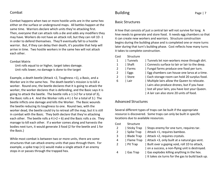#### Combat

Combat happens when two or more hostile units are in the same hex either on the surface or underground maps. All battles happen at the same time. Warriors declare which units they're attacking first. Then, everyone that can attack rolls a die and adds any modifiers they may have. Workers do not have an attack roll, but they can roll 1D -1 in order to defend themselves. They'll eventually fall to a hostile warrior. But, if they can delay their death, it's possible that help will arrive in time. Two hostile workers in the same hex will not attack each other.

#### Combat Matrix

 Unit rolls equal to or higher, target takes damage.Unit rolls lower, no damage is done to the target

Example, a death beetle (Attack +2, Toughness +1), a Basic, and a Worker are in the same hex. The death beetle's mission is to kill a worker. Round one, the beetle declares that it is going to attack the worker, the worker declares that is defending, and the Basic says it is going to attack the beetle. The beetle rolls a 1 (+2 for a total of 3), the Basic rolls a 4. And the Worker rolls a 4 (-1 for a total of 3.) The beetle inflicts one damage and kills the Worker. The Basic wounds the beetle reducing its toughness to one. Round two, with the worker dead, the beetle could try to retreat off the map, but it is still in combat with the Basic. They both declare that they're attacking each other. The beetle rolls a 4 ( $+2 = 6$ ) and the Basic rolls a six. They manage to kill each other. If a worker comes along and harvests the bodies next turn, it would generate 3 food (2 for the beetle and 1 for the Basic.)

While most combat is between two or more units, there are some structures that can attack enemy units that pass through them. For example, a spike trap (+1) would make a single attack if an enemy stops in or passes through the trapped hex.

# Building

## Basic Structures

A hive that consists of just a central lair will not survive for long. A hive needs to generate and store food. It needs egg chambers so that it can create new workers and warriors. Structure construction begins during the building phase and is completed one or more turns later during that turn's building phase. Cost reflects how many turns it takes to complete construction.

#### Cost Structure

| Tunnels let non-workers move through dirt. Connects surface to lair or lair to the deep. Fungal farms produce one food per turn. Egg chambers can house one larva at a time. Each storage room can hold 20 surplus food. 6 | Lair | Multiple lairs allow the Queen to relocate. | Lairs also produce drones, but if you have lost all your lairs, you have lost your Queen. | A lair can also store 20 units of food.

## Advanced Structures

Several different types of traps can be built if the appropriate resource is discovered. Some traps can only be built in specific locations due to available resources.

#### Cost Structure

|                |          | Sticky Trap   Stops enemy for one turn, requires tar.     |
|----------------|----------|-----------------------------------------------------------|
| 2              |          | Spike Trap   Attack +1, requires bamboo.                  |
| 3              |          | Blade Trap   Attack +2, requires crystals.                |
| 4              |          | Flame Trap   Attack +3, only built at a natural gas vent. |
| $\overline{2}$ | Pit Trap | Built over a gaping void, roll 1D to attack,              |
|                |          | on a success, a non-flying unit is destroyed.             |
| 4              | Gas Trap | Gas explodes killing anything in the hex.                 |
|                |          | It takes six turns for the gas to build back up.          |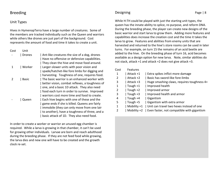# Breeding

## Unit Types

Hives in HymenopTerra have a large number of creatures. Some of the members are tracked individually such as the Queen and warriors while others like drones are just part of the background. Cost represents the amount of food and time it takes to create a unit.

Cost Unit

| rones  | Ant-like creatures the size of a dog, drones<br>Have no offensive or defensive capabilities.<br>They clean the hive and move food around. |
|--------|-------------------------------------------------------------------------------------------------------------------------------------------|
| Worker | Larger-slower units with poor vision and<br>spade/hatchet-like fore limbs for digging and                                                 |
|        | harvesting. Toughness of one, requires food.                                                                                              |
| Basic  | The basic warrior is an enhanced worker with                                                                                              |
|        | better vision, combat reflexes, a toughness of                                                                                            |
|        | one, and a basic 1D attack. They also need                                                                                                |
|        | food each turn in order to survive. Improved                                                                                              |
|        | warriors cost more time and food to create.                                                                                               |
| Queen  | Each hive begins with one of these and the                                                                                                |
|        | game ends if she is killed. Queens are fairly                                                                                             |
|        | immobile (they can only move from one lair                                                                                                |
|        | to another), have a toughness of three, and a                                                                                             |
|        | basic attack of 1D. They also need food.                                                                                                  |

In order to create a worker or warrior an unused egg chamber is required. While a larva is growing in that chamber, it can't be used for growing other individuals. Larvae are born and reach adulthood during the breeding phase. If they are not feed food while growing, the larva dies and new one will have to be created and the growth clock re-set.

## Designing

While H:TH could be played with just the starting unit types, the queen has the innate ability to splice, re-purpose, and reform DNA. During the breeding phase, the player can create new designs of the basic warrior and start larva to grow them. Adding more features and capabilities does increase the creation cost and the time it takes the larva to grow. Features and abilities from enemy units that are harvested and returned to the hive's store rooms can be used in later turns. For example, on turn 15 the remains of an acid beetle are added to the hive. On the breeding phase of turn 16, acid becomes available as a design option for new larva. Note, similar abilities do not stack, attack +1 and attack +2 does not give attack +3.

| Cost | Features    |                                            |
|------|-------------|--------------------------------------------|
| 1    | Attack +1   | Extra spikes inflict more damage           |
| 2    | Attack +2   | Basic has sword-like fore-limbs            |
| 3    | Attack +3   | Huge smashing claws, requires toughness 4+ |
| 1    | Tough $+1$  | Improved health                            |
| 2    | Tough $+2$  | Improved armor                             |
| 3    | Tough $+3$  | I Improved health and armor                |
| 4    | Tough $+4$  | Gigantism                                  |
| 5    | Tough +5    | Gigantism with extra armor                 |
| 1    | Mobility +1 | Unit can travel two hexes instead of one   |
| 2    | Mobility +2 | Even faster, not compatible with gigantism |

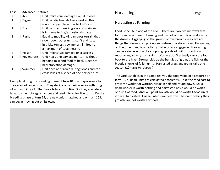| Cost | <b>Advanced Features</b> |                                              |  |
|------|--------------------------|----------------------------------------------|--|
| 2    | Acid                     | Unit inflicts one damage even if it loses    |  |
| 1    | Digger                   | Unit can dig tunnels like a worker, this     |  |
|      |                          | is not compatible with attack +2 or +3       |  |
| 1    | Fire                     | Unit can start fires in grass and grain and  |  |
|      |                          | is immune to fire/explosion damage           |  |
| 3    | Flight                   | Equal to mobility +3, can cross terrain that |  |
|      |                          | slows down other units, can't end its turn   |  |
|      |                          | in a lake (unless a swimmer), limited to     |  |
|      |                          | $\vert$ a maximum of toughness +1            |  |
| 2    | Poison                   | Unit inflicts two damage on a success        |  |
| 1    | Regenerate               | Unit heals one damage per turn without       |  |
|      |                          | needing to spend food to heal. Does not      |  |
|      |                          | heal starvation damage.                      |  |
| 1    | Swimmer                  | Unit does not drown during floods and can    |  |
|      |                          | cross lakes at a speed of one hex per turn   |  |

Example, during the breeding phase of turn 10, the player wants to create an advanced scout. They decide on a basic warrior with tough +1 and mobility +2. That has a total cost of five. So, they allocate a larva to an empty egg chamber and feed it food for five turns. On the breeding phase of turn 15, the new unit is hatched and on turn 16 it can begin moving out on its own.

# Harvesting

# Harvesting vs Farming

Food is the life blood of the hive. There are two distinct ways that food can be acquired. Farming and the collection of food is done by the drones. Eggs lying on the ground or mushrooms in a cave are things that drones can pick up and return to a store room. Harvesting on the other hand is an activity that workers engage in. Harvesting can be a single action like chopping up a dead unit for food or a reoccurring activity like fishing. Workers don't actually carry the food back to the hive. Drones pick up the bundles of grain, the fish, or the bloody chunks of fallen units. Harvested grass and grains take one season (12 turns to regrow.)

The various tables in the game tell you the food value of a resource or farm. But, dead units are calculated differently. Take the food cost to grow the worker or warrior, divide in half and round down. So, a dead worker is worth nothing and harvested basic would be worth one unit of food. And, a 9 point Goliath would be worth 4 food units if it was harvested. Larvae, which are destroyed before finishing their growth, are not worth any food.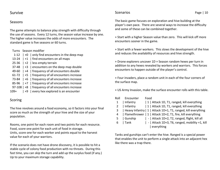# Survive

## Seasons

The game attempts to balance play strength with difficulty through the use of seasons. Every 12 turns, the season value increase by one. The higher value increases the odds of more encounters. The standard game is five seasons or 60 turns.

#### Turns Season modifier

|           | 1-12 $\vert$ +0 $\vert$ only find encounters in the deep map |
|-----------|--------------------------------------------------------------|
| 13-24     | $ +1 $ ind encounters on all maps                            |
| $25 - 36$ | $ +2 $ less empty terrain                                    |
| $37 - 48$ | $ +3 $ encounters on the deep map double                     |
| 49-60     | $ +4 $ frequency of all encounters double                    |
|           | $61-72$   +5   frequency of all encounters increase          |
|           | 73-84   +6   frequency of all encounters increase            |
| 85-96     | $ +7 $ frequency of all encounters increase                  |
|           | 97-108   +8   frequency of all encounters increase           |
| 109+      | $+9$ every hex explored is an encounter                      |

# Scoring

The hive revolves around a food economy, so it factors into your final score as much as the strength of your hive and the size of your population.

Rooms, one point for each room and two points for each resource. Food, score one point for each unit of food in storage. Units, score one for each worker and points equal to the harvest value for each of your warriors.

If the scenario does not have drone discovery, it is possible to hit a stable cycle of colony food production with no threats. During this fast time, you can skip the turn and add up the surplus food (if any.) Up to your maximum storage capability.

## **Scenarios**

The basic game focuses on exploration and hive building at the player's own pace. There are several ways to increase the difficulty and some of these can be combined together.

+ Start with a higher Season value than zero. This will kick off more encounters sooner in the game.

+ Start with a fewer workers. This slows the development of the hive and reduces the availability of resources and hive strength.

+ Drone explorers uncover 1D + Season random hexes per turn in addition to any hexes revealed by workers and warriors. This forces encounters to happen outside of the player's control.

+ Four invaders, place a random unit in each of the four corners of the surface map.

+ US Army Invasion, make the surface encounter rolls with this table.

| Roll | Encounter | Food                                                              |
|------|-----------|-------------------------------------------------------------------|
| 1    | Infantry  | 1   Attack 1D, T1, ranged, kill everything                        |
| 2    | Infantry  | 1   Attack 1D, T1, ranged, kill everything                        |
|      |           | 3   Heavy Infantry   1   Attack 1D+1, T1, ranged, kill everything |
| 4    |           | Flamethrower   1   Attack 1D+2, T1, fire, kill everything         |
| 5    | Gunship   | -   Attack 1D+2, T2, ranged, flight, kill all                     |
| 6    | Tank      | -   Attack 1D+3, T6, ranged, mobility +1, kill                    |
|      |           | everything                                                        |
|      |           |                                                                   |

Tanks and gunships can't enter the hive. Ranged is a special power that enables the unit to perform a single attack into an adjacent hex like there was a trap there.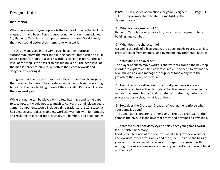# Designer Notes

### Inspiration

What's in a name? Hymenoptera is the family of insects that include wasps, ants, and bees. Terra is another name for our home planet. So, HymenopTerra is my Latin portmanteau for Insect World (well, that does sound better than membrane wing world.)

The three maps used in the game each have their purpose. The surface map offers the most food during harvest, but it can't be built upon except for traps. It also a hazardous place to explore. The lair level of the map is the easiest to dig and build on. The deep level of the map is harder to build in, but offers the riches rewards and dangers in exploring it.

This game is actually a precursor to a different HymenopTerra game that I wanted to make. The city states game would take place a long time after the hive building phase of their society. Perhaps I'll tackle that one next year.

While this game can be played with a few hex maps and some paper to take notes, it would not take much to convert to a full blown board game. Components would include a time track (start, 1-12, seasons), hex tiles, structure tiles, trap tiles, workers, warriors with ID numbers, and resource tokens for food, crystals, tar, bamboo, and dead bodies.

POWER 19 is a series of questions for game designers. Page | 11 I'll post my answers here to shed some light on the design process.

#### 1.) What is your game about?

HymenopTerra is about exploration, resource management, base building, and combat.

#### 2.) What does the character do?

Assuming the role of a hive queen, the queen needs to create a hive, protect herself from enemies, and overcome environmental hazards.

#### 3.) What does the player do?

The player needs to move workers and warriors around the hex map in order to explore and find new resources. They need to expand the hive, build traps, and manage the supply of food along with the growth of their army of creatures.

 4.) How does your setting reinforce what your game is about? The setting reinforces the blank slate that the queen is placed in the nature of an insect burrow and its defense. It also plays into the player's curiosity about what is out there.

### 5.) How does the Character Creation of your game reinforce what your game is about?

The queen as a character is rather bland. The true character of the game is the hive. It is the hive that grows and develops its own look.

#### 6.) What types of behaviors/styles of play does your game reward (and punish if necessary)?

Food is the life blood of the hive, you need it to grow new workers and warriors, to feed your army and the queen. It's also the basis of your score. So, you need to balance the expense of growth with scoring. The second resource is time do your workers explore or build up the hive?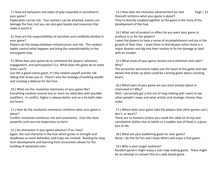7.) How are behaviors and styles of play rewarded or punished in your game?

Exploration carries risk. Your workers can be attacked, events can damage the hive, but you can also gain boosts and resources that make it worth it.

 8.) How are the responsibilities of narration and credibility divided in your game?

Players set the tempo between infrastructure and risk. The random tables control what happens and bring the unpredictability to the story/game play.

 9.) What does your game do to command the players' attention, engagement, and participation? (i.e. What does the game do to make them care?)

Just like a good casino game, it's the random payoff and the risk taking that draws you in. There's also the strategy of building wealth and creating a defense for the hive.

 10.) What are the resolution mechanics of your game like? Everything revolves around one or more six sided dice with possible modifiers. In conflict, higher is always better and on a tie both sides are losers.

 11.) How do the resolution mechanics reinforce what your game is about?

Conflict resolution reinforces risk and uncertainty. Even the most powerful units are not impervious to harm.

 12.) Do characters in your game advance? If so, how? Again, the real character is the hive which grows in strength and deadliness as more defenders and traps are created. Building for long term development and learning from encounters allows for the building of advanced units.

 13.) How does the character advancement (or lack Page | 12 thereof) reinforce what your game is about? They're directly coupled together as the game is the story of the development of the hive.

 14.) What sort of product or effect do you want your game to produce in or for the players?

I want the players to have a sense of accomplishment and joy in the growth of their hive. I want them to feel despair when there is a major disaster and dig into their resolve to fix the damage or deal with an invader.

 15.) What areas of your game receive extra attention and color? Why?

The encounter and events tables are the heart of the game and add details that break up what could be a boring game about counting beans.

 16.) Which part of your game are you most excited about or interested in? Why?

Well, I personally get a kick out of map making and I want to see other people's maps and what artistic and strategic choices they make.

 17.) Where does your game take the players that other games can't, don't, or won't?

There are no humans (unless you could the rabid US Army) and cannibalism (either due to battle or a sudden loss of food) is a given fact of life.

 18.) What are your publishing goals for your game?None, I do this for fun and I hope others will enjoy a free game.

#### 19.) Who is your target audience?

Random gamers might enjoy a solo map making game. There might be an attempt to convert this to a web based game.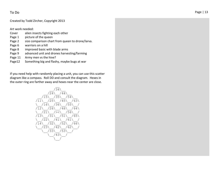## To Do

#### Created by Todd Zircher, Copyright 2013

Art work needed:

- Cover alien insects fighting each other
- Page 1 picture of the queen
- Page 2 size comparison chart from queen to drone/larva.
- Page 6 warriors on a hill
- Page 8 improved basic with blade arms
- Page 9 advanced unit and drones harvesting/farming
- Page 11 Army men vs the hive?
- Page12 Something big and flashy, maybe bugs at war

If you need help with randomly placing a unit, you can use this scatter diagram like a compass. Roll DD and consult the diagram. Hexes in the outer ring are farther away and hexes near the center are close.

$$
\frac{\sqrt{24}}{\sqrt{11}} \times \frac{\sqrt{25}}{\sqrt{35}} \times \frac{\sqrt{54}}{\sqrt{54}} \times \frac{\sqrt{11}}{\sqrt{16}} \times \frac{\sqrt{25}}{\sqrt{36}} \times \frac{\sqrt{55}}{\sqrt{55}} \times \frac{\sqrt{21}}{\sqrt{21}} \times \frac{\sqrt{26}}{\sqrt{56}} \times \frac{\sqrt{21}}{\sqrt{13}} \times \frac{\sqrt{21}}{\sqrt{51}} \times \frac{\sqrt{25}}{\sqrt{56}} \times \frac{\sqrt{22}}{\sqrt{14}} \times \frac{\sqrt{22}}{\sqrt{23}} \times \frac{\sqrt{22}}{\sqrt{41}} \times \frac{\sqrt{61}}{\sqrt{62}} \times \frac{\sqrt{23}}{\sqrt{43}} \times \frac{\sqrt{23}}{\sqrt{53}} \times \frac{\sqrt{23}}{\sqrt{53}} \times \frac{\sqrt{23}}{\sqrt{53}} \times \frac{\sqrt{23}}{\sqrt{53}} \times \frac{\sqrt{23}}{\sqrt{53}} \times \frac{\sqrt{23}}{\sqrt{53}} \times \frac{\sqrt{23}}{\sqrt{53}} \times \frac{\sqrt{23}}{\sqrt{53}} \times \frac{\sqrt{23}}{\sqrt{53}} \times \frac{\sqrt{23}}{\sqrt{53}} \times \frac{\sqrt{23}}{\sqrt{53}} \times \frac{\sqrt{23}}{\sqrt{53}} \times \frac{\sqrt{23}}{\sqrt{53}} \times \frac{\sqrt{23}}{\sqrt{53}} \times \frac{\sqrt{23}}{\sqrt{53}} \times \frac{\sqrt{23}}{\sqrt{53}} \times \frac{\sqrt{23}}{\sqrt{53}} \times \frac{\sqrt{23}}{\sqrt{53}} \times \frac{\sqrt{23}}{\sqrt{53}} \times \frac{\sqrt{23}}{\sqrt{53}} \times \frac{\sqrt{23}}{\sqrt{53}} \times \frac{\sqrt{23}}{\sqrt{53}} \times \frac{\sqrt{23}}{\sqrt{53}} \times \frac{\sqrt{23}}{\sqrt{53}} \times \frac{\sqrt{23}}{\sqrt{53}} \times \frac{\sqrt{23}}{\sqrt{53}} \times \frac{\sqrt{23}}{\sqrt{53}} \times \frac{\sqrt{23}}{\sqrt{53}} \times \frac{\sqrt{23}}{\sqrt{53}} \times \frac{\sqrt{23}}{\sqrt{53}} \times \frac{\sqrt{23}}{\sqrt{53}} \times \frac{\sqrt{23}}
$$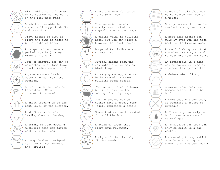Plain old dirt, all types  $\mathcal{U} \subset \mathbb{N}$  of structures can be built  $\bigvee$  on the lair/deep maps.

 Sand, too unstable for  $\sqrt{r}$  . The  $\sqrt{r}$  rooms, will support shafts  $\overline{\phantom{a}}$  and corridors.

 Clay, harder to dig, it  $\sqrt{2}$   $\sqrt{2}$  slows the time it takes to build anything here.

> A large rock (or several packed together), they block any digging.

 Jets of natural gas can be converted to a flame trap  $\bigcup_{k} \{ \setminus \{k\} \mid k \in \mathbb{N} \}$  (skull indicates a trap.)

 A pure source of calm  $\sqrt{r}$   $\rightarrow$  N water that can heal the wounded.

> A tasty grub that can be harvested. Color it I in when it is used.

 A shaft leading up to the  $\setminus$  | | / next level or the surface.

 A shaft or sink hole  $\sqrt{|\cdot|}$  leading down to the deep.

 A colony of fast growing  $\left\{\begin{array}{l} \forall \varphi \ \varphi \ \varphi \end{array}\right\}$  mushrooms that can farmed  $\setminus \varphi$ 

> An egg chamber, designed I for growing new workers  $\sqrt{a}$  and warriors.

 A storage room for up to 20 surplus food. Your generic tunnel,  $\left\{\begin{array}{c} \begin{array}{c} \end{array} \right\}$  \ easily constructed and a good place to put traps. A gaping void, no building here, but you can place a trap on the level above. Drops of tar indicate a sticky trap. Crystal shards form the /  $\sqrt[3]{\ }$  \ raw materials for making blade traps. A tasty giant egg that can be harvested. It makes  $\setminus$  / building rooms easier. The tar pit is not a trap, but it allows for the making of sticky traps. The gas pocket can be  $I\{\mathcal{N}\}\cup\mathcal{N}$  turned into a deadly bomb (skull indicates a trap.) Grass that can be harvested up and for a little food ND. A stand of trees that slows down movement.

**A \** Rocky soil that is only  $\mathcal{F}_{\mathbf{a}}^*$  fit for weeds.

 Stands of grain that can **be harvested for food by**  $\frac{1}{10}$  a worker.  $\frac{1}{\|x\|}$  Sturdy bamboo that can be<br>  $\frac{1}{\|x\|}$  crafted into spike traps. A nest that drones can quickly over-run and take **back to the hive as good.**  A small fishing pond that a worker can stay at and harvest one food per turn. An impassible lake that **Communist Can be harvested from an** adjacent hex by a worker. A defensible hill top. A spike trap, requires **bamboo before it can be**  built. A more deadly blade trap,

> A flame trap can only be built over a source of natural gas.

it requires a source of

crystals.

 An explosive gas trap can only be built in a gas pocket.

 A covered pit trap (which must have a gaping void under it on the deep map.)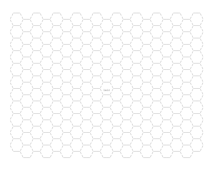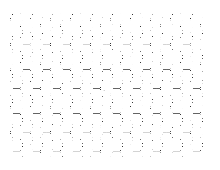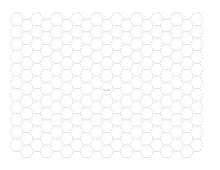